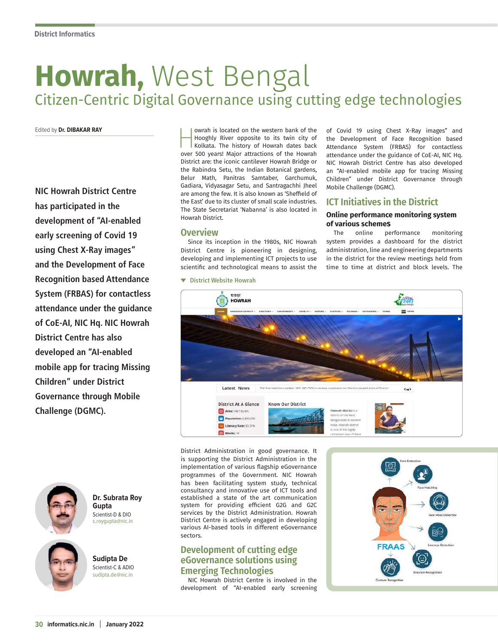# **Howrah,** West Bengal Citizen-Centric Digital Governance using cutting edge technologies

Edited by **Dr. DIBAKAR RAY**

**NIC Howrah District Centre has participated in the development of "AI-enabled early screening of Covid 19 using Chest X-Ray images" and the Development of Face Recognition based Attendance System (FRBAS) for contactless attendance under the guidance of CoE-AI, NIC Hq. NIC Howrah District Centre has also developed an "AI-enabled mobile app for tracing Missing Children" under District Governance through Mobile Challenge (DGMC).**



**Dr. Subrata Roy Gupta** Scientist-D & DIO s.roygupta@nic.in

**Sudipta De** Scientist-C & ADIO sudipta.de@nic.in worah is located on the western bank of the<br>Hooghly River opposite to its twin city of<br>Kolkata. The history of Howrah dates back<br>over 500 years! Major attractions of the Howrah Hooghly River opposite to its twin city of Kolkata. The history of Howrah dates back over 500 years! Major attractions of the Howrah District are: the iconic cantilever Howrah Bridge or the Rabindra Setu, the Indian Botanical gardens, Belur Math, Panitras Samtaber, Garchumuk, Gadiara, Vidyasagar Setu, and Santragachhi Jheel are among the few. It is also known as 'Sheffield of the East' due to its cluster of small scale industries. The State Secretariat 'Nabanna' is also located in Howrah District.

**Overview** 

**District Website Howrah**

Since its inception in the 1980s, NIC Howrah District Centre is pioneering in designing, developing and implementing ICT projects to use scientific and technological means to assist the

of Covid 19 using Chest X-Ray images" and the Development of Face Recognition based Attendance System (FRBAS) for contactless attendance under the guidance of CoE-AI, NIC Hq. NIC Howrah District Centre has also developed an "AI-enabled mobile app for tracing Missing Children" under District Governance through Mobile Challenge (DGMC).

# **ICT Initiatives in the District**

# **Online performance monitoring system of various schemes**

The online performance monitoring system provides a dashboard for the district administration, line and engineering departments in the district for the review meetings held from time to time at district and block levels. The

**STORE HOWRAH** Latest News ther 1800 345 5558 to receive  $\langle u \rangle$ **District At A Glance Know Our District Bill** Area: 1467 sq km. wrah district is a Istrict of the West 囲 Population: 4,850,0 lengal state in easter Literacy Rate: 83.31% India. Howrah distr<br>is one of the highly  $\Box$  at  $\frac{1}{2}$ 

District Administration in good governance. It is supporting the District Administration in the implementation of various flagship eGovernance programmes of the Government. NIC Howrah has been facilitating system study, technical consultancy and innovative use of ICT tools and established a state of the art communication system for providing efficient G2G and G2C services by the District Administration. Howrah District Centre is actively engaged in developing various AI-based tools in different eGovernance sectors.

# **Development of cutting edge eGovernance solutions using Emerging Technologies**

NIC Howrah District Centre is involved in the development of "AI-enabled early screening